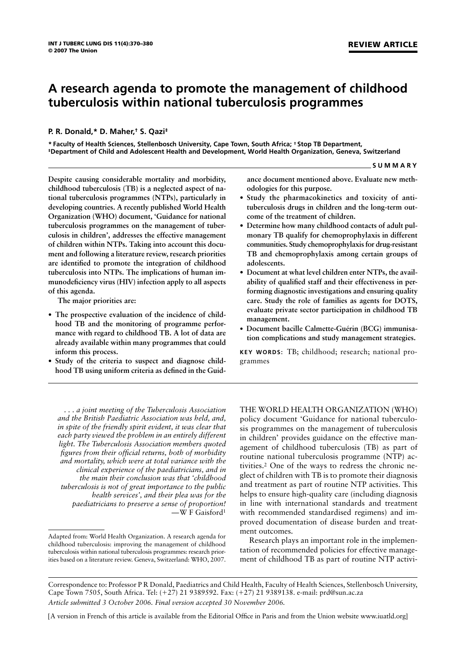# **A research agenda to promote the management of childhood tuberculosis within national tuberculosis programmes**

# **P. R. Donald,\* D. Maher,† S. Qazi‡**

**\* Faculty of Health Sciences, Stellenbosch University, Cape Town, South Africa; † Stop TB Department, ‡Department of Child and Adolescent Health and Development, World Health Organization, Geneva, Switzerland**

**Despite causing considerable mortality and morbidity, childhood tuberculosis (TB) is a neglected aspect of national tuberculosis programmes (NTPs), particularly in developing countries. A recently published World Health Organization (WHO) document, 'Guidance for national tuberculosis programmes on the management of tuberculosis in children', addresses the effective management of children within NTPs. Taking into account this document and following a literature review, research priorities are identified to promote the integration of childhood tuberculosis into NTPs. The implications of human immunodeficiency virus (HIV) infection apply to all aspects of this agenda.**

**The major priorities are:**

- **The prospective evaluation of the incidence of childhood TB and the monitoring of programme performance with regard to childhood TB. A lot of data are already available within many programmes that could inform this process.**
- **Study of the criteria to suspect and diagnose childhood TB using uniform criteria as defined in the Guid-**

**ance document mentioned above. Evaluate new methodologies for this purpose.**

- **Study the pharmacokinetics and toxicity of antituberculosis drugs in children and the long-term outcome of the treatment of children.**
- **Determine how many childhood contacts of adult pulmonary TB qualify for chemoprophylaxis in different communities. Study chemoprophylaxis for drug-resistant TB and chemoprophylaxis among certain groups of adolescents.**
- **Document at what level children enter NTPs, the availability of qualified staff and their effectiveness in performing diagnostic investigations and ensuring quality care. Study the role of families as agents for DOTS, evaluate private sector participation in childhood TB management.**
- **• Document bacille Calmette-Guérin (BCG) immunisation complications and study management strategies.**

**KEY WORDS:** TB; childhood; research; national programmes

*. . . a joint meeting of the Tuberculosis Association and the British Paediatric Association was held, and, in spite of the friendly spirit evident, it was clear that each party viewed the problem in an entirely different light. The Tuberculosis Association members quoted figures from their official returns, both of morbidity and mortality, which were at total variance with the clinical experience of the paediatricians, and in the main their conclusion was that 'childhood tuberculosis is not of great importance to the public health services', and their plea was for the paediatricians to preserve a sense of proportion!* —W F Gaisford1 THE WORLD HEALTH ORGANIZATION (WHO) policy document 'Guidance for national tuberculosis programmes on the management of tuberculosis in children' provides guidance on the effective management of childhood tuberculosis (TB) as part of routine national tuberculosis programme (NTP) activities.2 One of the ways to redress the chronic neglect of children with TB is to promote their diagnosis and treatment as part of routine NTP activities. This helps to ensure high-quality care (including diagnosis in line with international standards and treatment with recommended standardised regimens) and improved documentation of disease burden and treatment outcomes.

Research plays an important role in the implementation of recommended policies for effective management of childhood TB as part of routine NTP activi-

[A version in French of this article is available from the Editorial Office in Paris and from the Union website www.iuatld.org]

**SUMMARY**

Adapted from: World Health Organization. A research agenda for childhood tuberculosis: improving the management of childhood tuberculosis within national tuberculosis programmes: research priorities based on a literature review. Geneva, Switzerland: WHO, 2007.

Correspondence to: Professor P R Donald, Paediatrics and Child Health, Faculty of Health Sciences, Stellenbosch University, Cape Town 7505, South Africa. Tel: (-27) 21 9389592. Fax: (-27) 21 9389138. e-mail: prd@sun.ac.za *Article submitted 3 October 2006. Final version accepted 30 November 2006.*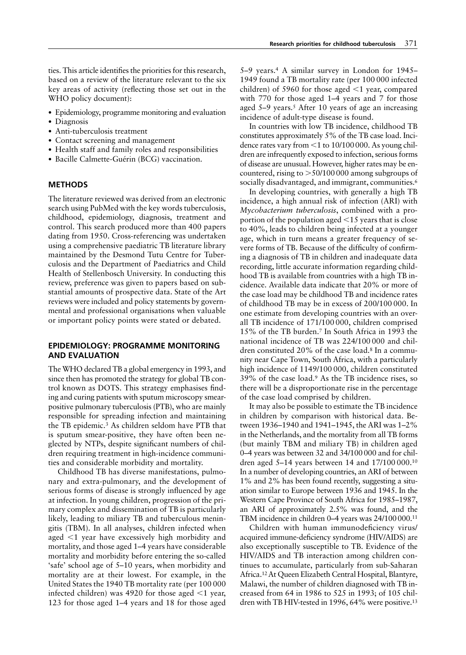ties. This article identifies the priorities for this research, based on a review of the literature relevant to the six key areas of activity (reflecting those set out in the WHO policy document):

- Epidemiology, programme monitoring and evaluation
- Diagnosis
- Anti-tuberculosis treatment
- Contact screening and management
- Health staff and family roles and responsibilities
- Bacille Calmette-Guérin (BCG) vaccination.

#### **METHODS**

The literature reviewed was derived from an electronic search using PubMed with the key words tuberculosis, childhood, epidemiology, diagnosis, treatment and control. This search produced more than 400 papers dating from 1950. Cross-referencing was undertaken using a comprehensive paediatric TB literature library maintained by the Desmond Tutu Centre for Tuberculosis and the Department of Paediatrics and Child Health of Stellenbosch University. In conducting this review, preference was given to papers based on substantial amounts of prospective data. State of the Art reviews were included and policy statements by governmental and professional organisations when valuable or important policy points were stated or debated.

# **EPIDEMIOLOGY: PROGRAMME MONITORING AND EVALUATION**

The WHO declared TB a global emergency in 1993, and since then has promoted the strategy for global TB control known as DOTS. This strategy emphasises finding and curing patients with sputum microscopy smearpositive pulmonary tuberculosis (PTB), who are mainly responsible for spreading infection and maintaining the TB epidemic.3 As children seldom have PTB that is sputum smear-positive, they have often been neglected by NTPs, despite significant numbers of children requiring treatment in high-incidence communities and considerable morbidity and mortality.

Childhood TB has diverse manifestations, pulmonary and extra-pulmonary, and the development of serious forms of disease is strongly influenced by age at infection. In young children, progression of the primary complex and dissemination of TB is particularly likely, leading to miliary TB and tuberculous meningitis (TBM). In all analyses, children infected when aged  $<$ 1 year have excessively high morbidity and mortality, and those aged 1–4 years have considerable mortality and morbidity before entering the so-called 'safe' school age of 5–10 years, when morbidity and mortality are at their lowest. For example, in the United States the 1940 TB mortality rate (per 100 000 infected children) was 4920 for those aged  $\leq 1$  year, 123 for those aged 1–4 years and 18 for those aged

5–9 years.4 A similar survey in London for 1945– 1949 found a TB mortality rate (per 100 000 infected children) of 5960 for those aged  $\leq$ 1 year, compared with 770 for those aged 1–4 years and 7 for those aged 5–9 years.<sup>5</sup> After 10 years of age an increasing incidence of adult-type disease is found.

In countries with low TB incidence, childhood TB constitutes approximately 5% of the TB case load. Incidence rates vary from  $\leq 1$  to 10/100 000. As young children are infrequently exposed to infection, serious forms of disease are unusual. However, higher rates may be encountered, rising to  $> 50/100000$  among subgroups of socially disadvantaged, and immigrant, communities.<sup>6</sup>

In developing countries, with generally a high TB incidence, a high annual risk of infection (ARI) with *Mycobacterium tuberculosis*, combined with a proportion of the population aged  $\leq$  15 years that is close to 40%, leads to children being infected at a younger age, which in turn means a greater frequency of severe forms of TB. Because of the difficulty of confirming a diagnosis of TB in children and inadequate data recording, little accurate information regarding childhood TB is available from countries with a high TB incidence. Available data indicate that 20% or more of the case load may be childhood TB and incidence rates of childhood TB may be in excess of 200/100 000. In one estimate from developing countries with an overall TB incidence of 171/100 000, children comprised 15% of the TB burden.7 In South Africa in 1993 the national incidence of TB was 224/100 000 and children constituted 20% of the case load.8 In a community near Cape Town, South Africa, with a particularly high incidence of 1149/100 000, children constituted 39% of the case load.9 As the TB incidence rises, so there will be a disproportionate rise in the percentage of the case load comprised by children.

It may also be possible to estimate the TB incidence in children by comparison with historical data. Between 1936–1940 and 1941–1945, the ARI was 1–2% in the Netherlands, and the mortality from all TB forms (but mainly TBM and miliary TB) in children aged 0–4 years was between 32 and 34/100 000 and for children aged 5–14 years between 14 and 17/100 000.10 In a number of developing countries, an ARI of between 1% and 2% has been found recently, suggesting a situation similar to Europe between 1936 and 1945. In the Western Cape Province of South Africa for 1985–1987, an ARI of approximately 2.5% was found, and the TBM incidence in children 0–4 years was 24/100 000.<sup>11</sup>

Children with human immunodeficiency virus/ acquired immune-deficiency syndrome (HIV/AIDS) are also exceptionally susceptible to TB. Evidence of the HIV/AIDS and TB interaction among children continues to accumulate, particularly from sub-Saharan Africa.12 At Queen Elizabeth Central Hospital, Blantyre, Malawi, the number of children diagnosed with TB increased from 64 in 1986 to 525 in 1993; of 105 children with TB HIV-tested in 1996, 64% were positive.<sup>13</sup>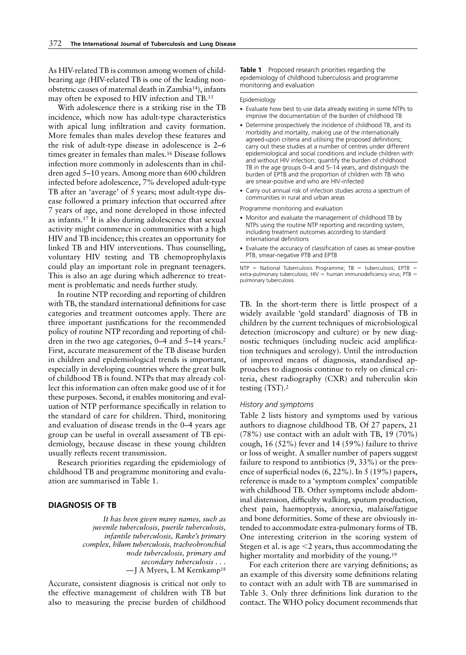As HIV-related TB is common among women of childbearing age (HIV-related TB is one of the leading nonobstetric causes of maternal death in Zambia14), infants may often be exposed to HIV infection and TB.15

With adolescence there is a striking rise in the TB incidence, which now has adult-type characteristics with apical lung infiltration and cavity formation. More females than males develop these features and the risk of adult-type disease in adolescence is 2–6 times greater in females than males.16 Disease follows infection more commonly in adolescents than in children aged 5–10 years. Among more than 600 children infected before adolescence, 7% developed adult-type TB after an 'average' of 5 years; most adult-type disease followed a primary infection that occurred after 7 years of age, and none developed in those infected as infants.17 It is also during adolescence that sexual activity might commence in communities with a high HIV and TB incidence; this creates an opportunity for linked TB and HIV interventions. Thus counselling, voluntary HIV testing and TB chemoprophylaxis could play an important role in pregnant teenagers. This is also an age during which adherence to treatment is problematic and needs further study.

In routine NTP recording and reporting of children with TB, the standard international definitions for case categories and treatment outcomes apply. There are three important justifications for the recommended policy of routine NTP recording and reporting of children in the two age categories, 0–4 and 5–14 years.<sup>2</sup> First, accurate measurement of the TB disease burden in children and epidemiological trends is important, especially in developing countries where the great bulk of childhood TB is found. NTPs that may already collect this information can often make good use of it for these purposes. Second, it enables monitoring and evaluation of NTP performance specifically in relation to the standard of care for children. Third, monitoring and evaluation of disease trends in the 0–4 years age group can be useful in overall assessment of TB epidemiology, because disease in these young children usually reflects recent transmission.

Research priorities regarding the epidemiology of childhood TB and programme monitoring and evaluation are summarised in Table 1.

# **DIAGNOSIS OF TB**

*It has been given many names, such as juvenile tuberculosis, puerile tuberculosis, infantile tuberculosis, Ranke's primary complex, hilum tuberculosis, tracheobronchial node tuberculosis, primary and secondary tuberculosis . . .* —J A Myers, L M Kernkamp18

Accurate, consistent diagnosis is critical not only to the effective management of children with TB but also to measuring the precise burden of childhood

**Table 1** Proposed research priorities regarding the epidemiology of childhood tuberculosis and programme monitoring and evaluation

Epidemiology

- Evaluate how best to use data already existing in some NTPs to improve the documentation of the burden of childhood TB
- Determine prospectively the incidence of childhood TB, and its morbidity and mortality, making use of the internationally agreed-upon criteria and utilising the proposed definitions; carry out these studies at a number of centres under different epidemiological and social conditions and include children with and without HIV infection; quantify the burden of childhood TB in the age groups 0–4 and 5–14 years, and distinguish the burden of EPTB and the proportion of children with TB who are smear-positive and who are HIV-infected
- Carry out annual risk of infection studies across a spectrum of communities in rural and urban areas

Programme monitoring and evaluation

- Monitor and evaluate the management of childhood TB by NTPs using the routine NTP reporting and recording system, including treatment outcomes according to standard international definitions
- Evaluate the accuracy of classification of cases as smear-positive PTB, smear-negative PTB and EPTB

 $NTP$  = National Tuberculosis Programme; TB = tuberculosis; EPTB = extra-pulmonary tuberculosis:  $HIV =$  human immunodeficiency virus; PTB = pulmonary tuberculosis.

TB. In the short-term there is little prospect of a widely available 'gold standard' diagnosis of TB in children by the current techniques of microbiological detection (microscopy and culture) or by new diagnostic techniques (including nucleic acid amplification techniques and serology). Until the introduction of improved means of diagnosis, standardised approaches to diagnosis continue to rely on clinical criteria, chest radiography (CXR) and tuberculin skin testing (TST).2

#### *History and symptoms*

Table 2 lists history and symptoms used by various authors to diagnose childhood TB. Of 27 papers, 21 (78%) use contact with an adult with TB, 19 (70%) cough, 16 (52%) fever and 14 (59%) failure to thrive or loss of weight. A smaller number of papers suggest failure to respond to antibiotics (9, 33%) or the presence of superficial nodes (6, 22%). In 5 (19%) papers, reference is made to a 'symptom complex' compatible with childhood TB. Other symptoms include abdominal distension, difficulty walking, sputum production, chest pain, haemoptysis, anorexia, malaise/fatigue and bone deformities. Some of these are obviously intended to accommodate extra-pulmonary forms of TB. One interesting criterion in the scoring system of Stegen et al. is age  $\leq$  years, thus accommodating the higher mortality and morbidity of the young.<sup>19</sup>

For each criterion there are varying definitions; as an example of this diversity some definitions relating to contact with an adult with TB are summarised in Table 3. Only three definitions link duration to the contact. The WHO policy document recommends that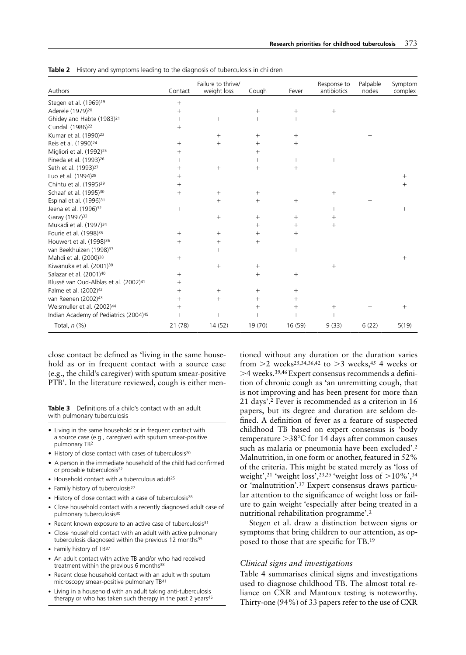| Authors                                           | Contact | Failure to thrive/<br>weight loss | Cough           | Fever   | Response to<br>antibiotics | Palpable<br>nodes | Symptom<br>complex |
|---------------------------------------------------|---------|-----------------------------------|-----------------|---------|----------------------------|-------------------|--------------------|
| Stegen et al. (1969) <sup>19</sup>                | $+$     |                                   |                 |         |                            |                   |                    |
| Aderele (1979) <sup>20</sup>                      | $^{+}$  |                                   | $^{+}$          | $^{+}$  | $^{+}$                     |                   |                    |
| Ghidey and Habte (1983) <sup>21</sup>             | $^{+}$  | $^{+}$                            | $^{+}$          | $^{+}$  |                            | $^{+}$            |                    |
| Cundall (1986) <sup>22</sup>                      | $^{+}$  |                                   |                 |         |                            |                   |                    |
| Kumar et al. (1990) <sup>23</sup>                 |         | $^{+}$                            | $^{+}$          | $^{+}$  |                            | $^{+}$            |                    |
| Reis et al. (1990) <sup>24</sup>                  | $^{+}$  | $^{+}$                            | $^{+}$          | $^{+}$  |                            |                   |                    |
| Migliori et al. (1992) <sup>25</sup>              | $^{+}$  |                                   | $^{+}$          |         |                            |                   |                    |
| Pineda et al. (1993) <sup>26</sup>                | $^{+}$  |                                   | $^{+}$          | $^{+}$  | $^{+}$                     |                   |                    |
| Seth et al. (1993) <sup>27</sup>                  | $^+$    | $^{+}$                            | $^{+}$          | $^{+}$  |                            |                   |                    |
| Luo et al. (1994) <sup>28</sup>                   | $^+$    |                                   |                 |         |                            |                   | $^{+}$             |
| Chintu et al. (1995) <sup>29</sup>                | $^{+}$  |                                   |                 |         |                            |                   | $\overline{ }$     |
| Schaaf et al. (1995) <sup>30</sup>                | $^{+}$  | $^{+}$                            | $^{+}$          |         | $^{+}$                     |                   |                    |
| Espinal et al. (1996) <sup>31</sup>               |         | $^{+}$                            | $^{+}$          | $^+$    |                            | $^{+}$            |                    |
| Jeena et al. (1996) <sup>32</sup>                 | $^{+}$  |                                   |                 |         | $^{+}$                     |                   | $^{+}$             |
| Garay (1997) <sup>33</sup>                        |         | $^{+}$                            | $^{+}$          | $^{+}$  | $^{+}$                     |                   |                    |
| Mukadi et al. (1997) <sup>34</sup>                |         |                                   | $^{+}$          | $^{+}$  | $^{+}$                     |                   |                    |
| Fourie et al. (1998) <sup>35</sup>                | $^{+}$  | $^{+}$                            | $^{+}$          | $^{+}$  |                            |                   |                    |
| Houwert et al. (1998) <sup>36</sup>               | $^{+}$  | $^{+}$                            | $^{+}$          |         |                            |                   |                    |
| van Beekhuizen (1998) <sup>37</sup>               |         | $^{+}$                            |                 | $^{+}$  |                            | $^{+}$            |                    |
| Mahdi et al. (2000) <sup>38</sup>                 | $^{+}$  |                                   |                 |         |                            |                   | $^+$               |
| Kiwanuka et al. (2001) <sup>39</sup>              |         | $\! + \!\!\!\!$                   | $\! + \!\!\!\!$ |         | $^{+}$                     |                   |                    |
| Salazar et al. (2001) <sup>40</sup>               | $^{+}$  |                                   | $^+$            | $^+$    |                            |                   |                    |
| Blussé van Oud-Alblas et al. (2002) <sup>41</sup> | $^{+}$  |                                   |                 |         |                            |                   |                    |
| Palme et al. (2002) <sup>42</sup>                 | $^{+}$  | $^{+}$                            | $^{+}$          | $^{+}$  |                            |                   |                    |
| van Reenen (2002) <sup>43</sup>                   | $^{+}$  | $^{+}$                            | $^{+}$          | $^+$    |                            |                   |                    |
| Weismuller et al. (2002) <sup>44</sup>            |         |                                   | $^{+}$          | $^{+}$  | $^{+}$                     | $^{+}$            | $^+$               |
| Indian Academy of Pediatrics (2004) <sup>45</sup> | $^{+}$  | $^{+}$                            | $^{+}$          | $^{+}$  |                            | $^{+}$            |                    |
| Total, n (%)                                      | 21 (78) | 14 (52)                           | 19 (70)         | 16 (59) | 9(33)                      | 6(22)             | 5(19)              |

**Table 2** History and symptoms leading to the diagnosis of tuberculosis in children

close contact be defined as 'living in the same household as or in frequent contact with a source case (e.g., the child's caregiver) with sputum smear-positive PTB'. In the literature reviewed, cough is either men-

**Table 3** Definitions of a child's contact with an adult with pulmonary tuberculosis

- Living in the same household or in frequent contact with a source case (e.g., caregiver) with sputum smear-positive pulmonary TB2
- History of close contact with cases of tuberculosis<sup>20</sup>
- A person in the immediate household of the child had confirmed or probable tuberculosis<sup>22</sup>
- Household contact with a tuberculous adult<sup>25</sup>
- Family history of tuberculosis<sup>27</sup>
- History of close contact with a case of tuberculosis<sup>28</sup>
- Close household contact with a recently diagnosed adult case of pulmonary tuberculosis<sup>30</sup>
- Recent known exposure to an active case of tuberculosis<sup>31</sup>
- Close household contact with an adult with active pulmonary tuberculosis diagnosed within the previous 12 months<sup>35</sup>
- Family history of TB37
- An adult contact with active TB and/or who had received treatment within the previous 6 months<sup>38</sup>
- Recent close household contact with an adult with sputum microscopy smear-positive pulmonary TB41
- Living in a household with an adult taking anti-tuberculosis therapy or who has taken such therapy in the past 2 years<sup>45</sup>

tioned without any duration or the duration varies from  $>$ 2 weeks<sup>25,34,36,42</sup> to  $>$ 3 weeks,<sup>45</sup> 4 weeks or >4 weeks.<sup>39,46</sup> Expert consensus recommends a definition of chronic cough as 'an unremitting cough, that is not improving and has been present for more than 21 days'.2 Fever is recommended as a criterion in 16 papers, but its degree and duration are seldom defined. A definition of fever as a feature of suspected childhood TB based on expert consensus is 'body temperature  $>38^{\circ}$ C for 14 days after common causes such as malaria or pneumonia have been excluded'.2 Malnutrition, in one form or another, featured in 52% of the criteria. This might be stated merely as 'loss of weight',<sup>21</sup> 'weight loss',<sup>23,25</sup> 'weight loss of  $>$ 10%',<sup>34</sup> or 'malnutrition'.37 Expert consensus draws particular attention to the significance of weight loss or failure to gain weight 'especially after being treated in a nutritional rehabilitation programme'.2

Stegen et al. draw a distinction between signs or symptoms that bring children to our attention, as opposed to those that are specific for TB.19

#### *Clinical signs and investigations*

Table 4 summarises clinical signs and investigations used to diagnose childhood TB. The almost total reliance on CXR and Mantoux testing is noteworthy. Thirty-one (94%) of 33 papers refer to the use of CXR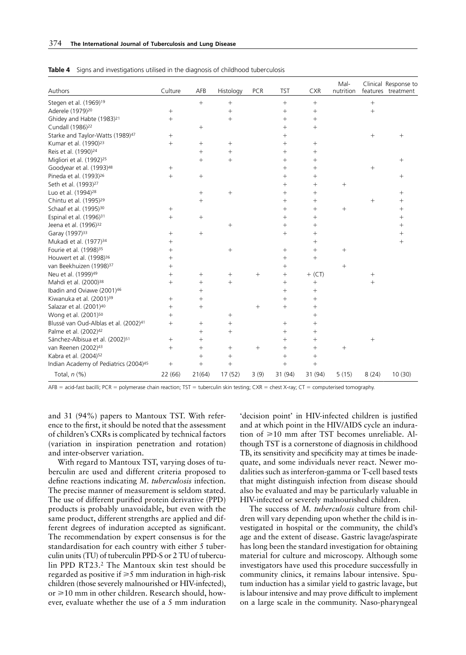| Authors                                           | Culture         | AFB             | Histology       | <b>PCR</b> | <b>TST</b> | <b>CXR</b>       | Mal-<br>nutrition |                 | Clinical Response to<br>features treatment |
|---------------------------------------------------|-----------------|-----------------|-----------------|------------|------------|------------------|-------------------|-----------------|--------------------------------------------|
| Stegen et al. (1969) <sup>19</sup>                |                 | $\! + \!\!\!\!$ | $\! + \!\!\!\!$ |            | $^{+}$     | $\boldsymbol{+}$ |                   | $\! + \!\!\!\!$ |                                            |
| Aderele (1979) <sup>20</sup>                      | $\! + \!\!\!\!$ |                 | $\! + \!\!\!\!$ |            | $^{+}$     | $^{+}$           |                   | $\! + \!\!\!\!$ |                                            |
| Ghidey and Habte (1983) <sup>21</sup>             | $^{+}$          |                 | $^{+}$          |            | $^{+}$     | $^{+}$           |                   |                 |                                            |
| Cundall (1986) <sup>22</sup>                      |                 | $^{+}$          |                 |            | $^{+}$     | $^{+}$           |                   |                 |                                            |
| Starke and Taylor-Watts (1989) <sup>47</sup>      | $^{+}$          |                 |                 |            | $^{+}$     |                  |                   | $^{+}$          | $^{+}$                                     |
| Kumar et al. (1990) <sup>23</sup>                 | $^{+}$          | $^{+}$          | $^{+}$          |            | $^{+}$     | $^{+}$           |                   |                 |                                            |
| Reis et al. (1990) <sup>24</sup>                  |                 | $^{+}$          | $^{+}$          |            | $^{+}$     | $^{+}$           |                   |                 |                                            |
| Migliori et al. (1992) <sup>25</sup>              |                 | $^{+}$          | $^{+}$          |            | $^{+}$     | $^{+}$           |                   |                 | $^{+}$                                     |
| Goodyear et al. (1993) <sup>48</sup>              | $^{+}$          |                 |                 |            | $^{+}$     | $^{+}$           |                   | $\! + \!\!\!\!$ |                                            |
| Pineda et al. (1993) <sup>26</sup>                | $+$             | $^{+}$          |                 |            | $^{+}$     | $^{+}$           |                   |                 | $^+$                                       |
| Seth et al. (1993) <sup>27</sup>                  |                 |                 |                 |            | $^{+}$     | $^{+}$           | $^{+}$            |                 |                                            |
| Luo et al. (1994) <sup>28</sup>                   |                 | $^{+}$          | $^{+}$          |            | $^{+}$     | $^{+}$           |                   |                 | $^+$                                       |
| Chintu et al. (1995) <sup>29</sup>                |                 | $^{+}$          |                 |            | $^{+}$     | $^{+}$           |                   | $^{+}$          | $^+$                                       |
| Schaaf et al. (1995) <sup>30</sup>                | $^{+}$          |                 |                 |            | $^{+}$     | $^{+}$           | $^+$              |                 | $^{+}$                                     |
| Espinal et al. (1996) <sup>31</sup>               | $^{+}$          | $^{+}$          |                 |            | $^{+}$     | $^{+}$           |                   |                 | $^{+}$                                     |
| Jeena et al. (1996) <sup>32</sup>                 |                 |                 | $^{+}$          |            | $^{+}$     | $^{+}$           |                   |                 | $^{+}$                                     |
| Garay (1997) <sup>33</sup>                        | $^{+}$          | $^{+}$          |                 |            | $^{+}$     | $^{+}$           |                   |                 | $^{+}$                                     |
| Mukadi et al. (1977) <sup>34</sup>                | $^{+}$          |                 |                 |            |            | $^{+}$           |                   |                 | $^{+}$                                     |
| Fourie et al. (1998) <sup>35</sup>                | $^{+}$          |                 | $^{+}$          |            | $^{+}$     | $^{+}$           | $^+$              |                 |                                            |
| Houwert et al. (1998) <sup>36</sup>               | $^{+}$          |                 |                 |            | $^{+}$     | $^{+}$           |                   |                 |                                            |
| van Beekhuizen (1998) <sup>37</sup>               | $^{+}$          |                 |                 |            | $^{+}$     |                  | $^+$              |                 |                                            |
| Neu et al. (1999) <sup>49</sup>                   | $^{+}$          | $^{+}$          | $^{+}$          | $^{+}$     | $^{+}$     | $+$ (CT)         |                   | $^{+}$          |                                            |
| Mahdi et al. (2000) <sup>38</sup>                 | $^{+}$          | $^{+}$          | $+$             |            | $^{+}$     |                  |                   | $^{+}$          |                                            |
| Ibadin and Oviawe (2001) <sup>46</sup>            |                 | $^{+}$          |                 |            | $^{+}$     | $^{+}$           |                   |                 |                                            |
| Kiwanuka et al. (2001) <sup>39</sup>              | $^{+}$          | $^{+}$          |                 |            | $^{+}$     | $^{+}$           |                   |                 |                                            |
| Salazar et al. (2001) <sup>40</sup>               | $^{+}$          | $^{+}$          |                 | $^{+}$     | $^{+}$     | $^{+}$           |                   |                 |                                            |
| Wong et al. (2001) <sup>50</sup>                  | $^{+}$          |                 | $^{+}$          |            |            | $^{+}$           |                   |                 |                                            |
| Blussé van Oud-Alblas et al. (2002) <sup>41</sup> | $^{+}$          | $^{+}$          | $^{+}$          |            | $^{+}$     | $^{+}$           |                   |                 |                                            |
| Palme et al. (2002) <sup>42</sup>                 |                 | $^{+}$          | $^{+}$          |            | $^{+}$     | $^{+}$           |                   |                 |                                            |
| Sánchez-Albisua et al. (2002) <sup>51</sup>       | $^{+}$          | $^{+}$          |                 |            | $^{+}$     | $^{+}$           |                   |                 |                                            |
| van Reenen (2002)43                               | $^{+}$          | $^{+}$          | $^{+}$          | $^{+}$     | $^{+}$     | $^{+}$           | $\! + \!\!\!\!$   |                 |                                            |
| Kabra et al. (2004) <sup>52</sup>                 |                 | $^{+}$          | $^{+}$          |            | $^{+}$     | $^{+}$           |                   |                 |                                            |
| Indian Academy of Pediatrics (2004) <sup>45</sup> |                 | $^{+}$          | $^{+}$          |            | $^{+}$     | $\! + \!\!\!\!$  |                   |                 |                                            |
| Total, $n$ $(\%)$                                 | 22 (66)         | 21(64)          | 17 (52)         | 3(9)       | 31 (94)    | 31 (94)          | 5(15)             | 8(24)           | 10(30)                                     |

**Table 4** Signs and investigations utilised in the diagnosis of childhood tuberculosis

AFB = acid-fast bacilli; PCR = polymerase chain reaction; TST = tuberculin skin testing; CXR = chest X-ray; CT = computerised tomography.

and 31 (94%) papers to Mantoux TST. With reference to the first, it should be noted that the assessment of children's CXRs is complicated by technical factors (variation in inspiration penetration and rotation) and inter-observer variation.

With regard to Mantoux TST, varying doses of tuberculin are used and different criteria proposed to define reactions indicating *M. tuberculosis* infection. The precise manner of measurement is seldom stated. The use of different purified protein derivative (PPD) products is probably unavoidable, but even with the same product, different strengths are applied and different degrees of induration accepted as significant. The recommendation by expert consensus is for the standardisation for each country with either 5 tuberculin units (TU) of tuberculin PPD-S or 2 TU of tuberculin PPD RT23.2 The Mantoux skin test should be regarded as positive if  $\geq 5$  mm induration in high-risk children (those severely malnourished or HIV-infected), or  $\geq 10$  mm in other children. Research should, however, evaluate whether the use of a 5 mm induration

'decision point' in HIV-infected children is justified and at which point in the HIV/AIDS cycle an induration of  $\geq 10$  mm after TST becomes unreliable. Although TST is a cornerstone of diagnosis in childhood TB, its sensitivity and specificity may at times be inadequate, and some individuals never react. Newer modalities such as interferon-gamma or T-cell based tests that might distinguish infection from disease should also be evaluated and may be particularly valuable in HIV-infected or severely malnourished children.

The success of *M. tuberculosis* culture from children will vary depending upon whether the child is investigated in hospital or the community, the child's age and the extent of disease. Gastric lavage/aspirate has long been the standard investigation for obtaining material for culture and microscopy. Although some investigators have used this procedure successfully in community clinics, it remains labour intensive. Sputum induction has a similar yield to gastric lavage, but is labour intensive and may prove difficult to implement on a large scale in the community. Naso-pharyngeal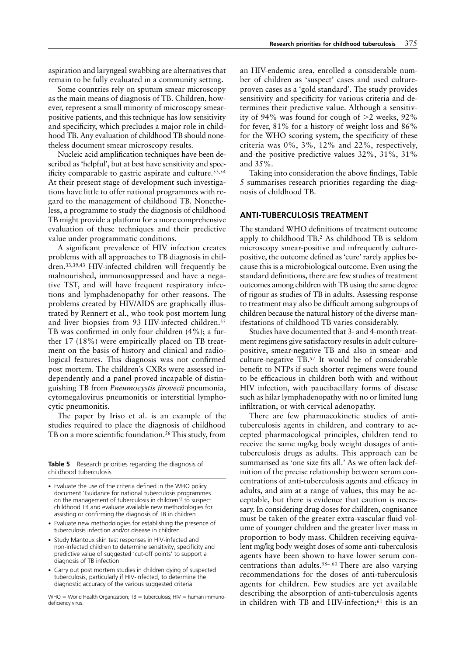aspiration and laryngeal swabbing are alternatives that remain to be fully evaluated in a community setting.

Some countries rely on sputum smear microscopy as the main means of diagnosis of TB. Children, however, represent a small minority of microscopy smearpositive patients, and this technique has low sensitivity and specificity, which precludes a major role in childhood TB. Any evaluation of childhood TB should nonetheless document smear microscopy results.

Nucleic acid amplification techniques have been described as 'helpful', but at best have sensitivity and specificity comparable to gastric aspirate and culture.53,54 At their present stage of development such investigations have little to offer national programmes with regard to the management of childhood TB. Nonetheless, a programme to study the diagnosis of childhood TB might provide a platform for a more comprehensive evaluation of these techniques and their predictive value under programmatic conditions.

A significant prevalence of HIV infection creates problems with all approaches to TB diagnosis in children.33,39,43 HIV-infected children will frequently be malnourished, immunosuppressed and have a negative TST, and will have frequent respiratory infections and lymphadenopathy for other reasons. The problems created by HIV/AIDS are graphically illustrated by Rennert et al., who took post mortem lung and liver biopsies from 93 HIV-infected children.<sup>55</sup> TB was confirmed in only four children (4%); a further 17 (18%) were empirically placed on TB treatment on the basis of history and clinical and radiological features. This diagnosis was not confirmed post mortem. The children's CXRs were assessed independently and a panel proved incapable of distinguishing TB from *Pneumocystis jirovecii* pneumonia, cytomegalovirus pneumonitis or interstitial lymphocytic pneumonitis.

The paper by Iriso et al. is an example of the studies required to place the diagnosis of childhood TB on a more scientific foundation.<sup>56</sup> This study, from

**Table 5** Research priorities regarding the diagnosis of childhood tuberculosis

- Evaluate new methodologies for establishing the presence of tuberculosis infection and/or disease in children
- Study Mantoux skin test responses in HIV-infected and non-infected children to determine sensitivity, specificity and predictive value of suggested 'cut-off points' to support a diagnosis of TB infection
- Carry out post mortem studies in children dying of suspected tuberculosis, particularly if HIV-infected, to determine the diagnostic accuracy of the various suggested criteria

an HIV-endemic area, enrolled a considerable number of children as 'suspect' cases and used cultureproven cases as a 'gold standard'. The study provides sensitivity and specificity for various criteria and determines their predictive value. Although a sensitivity of 94% was found for cough of  $>2$  weeks, 92% for fever, 81% for a history of weight loss and 86% for the WHO scoring system, the specificity of these criteria was 0%, 3%, 12% and 22%, respectively, and the positive predictive values 32%, 31%, 31% and 35%.

Taking into consideration the above findings, Table 5 summarises research priorities regarding the diagnosis of childhood TB.

# **ANTI-TUBERCULOSIS TREATMENT**

The standard WHO definitions of treatment outcome apply to childhood TB.2 As childhood TB is seldom microscopy smear-positive and infrequently culturepositive, the outcome defined as 'cure' rarely applies because this is a microbiological outcome. Even using the standard definitions, there are few studies of treatment outcomes among children with TB using the same degree of rigour as studies of TB in adults. Assessing response to treatment may also be difficult among subgroups of children because the natural history of the diverse manifestations of childhood TB varies considerably.

Studies have documented that 3- and 4-month treatment regimens give satisfactory results in adult culturepositive, smear-negative TB and also in smear- and culture-negative TB.57 It would be of considerable benefit to NTPs if such shorter regimens were found to be efficacious in children both with and without HIV infection, with paucibacillary forms of disease such as hilar lymphadenopathy with no or limited lung infiltration, or with cervical adenopathy.

There are few pharmacokinetic studies of antituberculosis agents in children, and contrary to accepted pharmacological principles, children tend to receive the same mg/kg body weight dosages of antituberculosis drugs as adults. This approach can be summarised as 'one size fits all.' As we often lack definition of the precise relationship between serum concentrations of anti-tuberculosis agents and efficacy in adults, and aim at a range of values, this may be acceptable, but there is evidence that caution is necessary. In considering drug doses for children, cognisance must be taken of the greater extra-vascular fluid volume of younger children and the greater liver mass in proportion to body mass. Children receiving equivalent mg/kg body weight doses of some anti-tuberculosis agents have been shown to have lower serum concentrations than adults.58– 60 There are also varying recommendations for the doses of anti-tuberculosis agents for children. Few studies are yet available describing the absorption of anti-tuberculosis agents in children with TB and HIV-infection;<sup>61</sup> this is an

<sup>•</sup> Evaluate the use of the criteria defined in the WHO policy document 'Guidance for national tuberculosis programmes on the management of tuberculosis in children'2 to suspect childhood TB and evaluate available new methodologies for assisting or confirming the diagnosis of TB in children

 $WHO = World Health Organization; TB = tuberculosis; HIV = human immuno$ deficiency virus.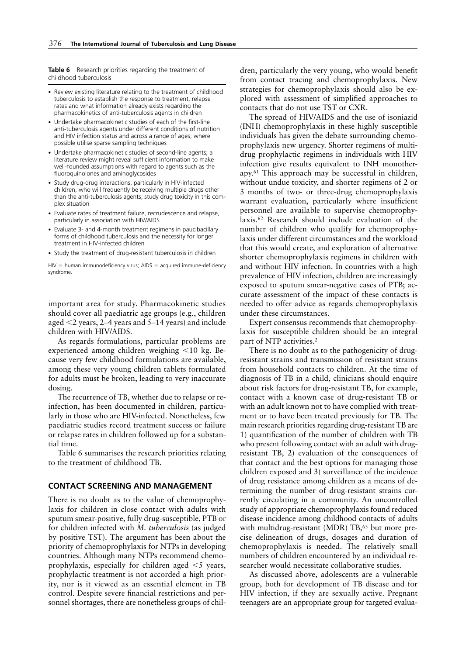**Table 6** Research priorities regarding the treatment of childhood tuberculosis

- Review existing literature relating to the treatment of childhood tuberculosis to establish the response to treatment, relapse rates and what information already exists regarding the pharmacokinetics of anti-tuberculosis agents in children
- Undertake pharmacokinetic studies of each of the first-line anti-tuberculosis agents under different conditions of nutrition and HIV infection status and across a range of ages; where possible utilise sparse sampling techniques
- Undertake pharmacokinetic studies of second-line agents; a literature review might reveal sufficient information to make well-founded assumptions with regard to agents such as the fluoroquinolones and aminoglycosides
- Study drug-drug interactions, particularly in HIV-infected children, who will frequently be receiving multiple drugs other than the anti-tuberculosis agents; study drug toxicity in this complex situation
- Evaluate rates of treatment failure, recrudescence and relapse, particularly in association with HIV/AIDS
- Evaluate 3- and 4-month treatment regimens in paucibacillary forms of childhood tuberculosis and the necessity for longer treatment in HIV-infected children
- Study the treatment of drug-resistant tuberculosis in children

 $HIV =$  human immunodeficiency virus;  $AIDS =$  acquired immune-deficiency syndrome.

important area for study. Pharmacokinetic studies should cover all paediatric age groups (e.g., children aged  $\leq$ 2 years, 2–4 years and 5–14 years) and include children with HIV/AIDS.

As regards formulations, particular problems are experienced among children weighing  $\leq 10$  kg. Because very few childhood formulations are available, among these very young children tablets formulated for adults must be broken, leading to very inaccurate dosing.

The recurrence of TB, whether due to relapse or reinfection, has been documented in children, particularly in those who are HIV-infected. Nonetheless, few paediatric studies record treatment success or failure or relapse rates in children followed up for a substantial time.

Table 6 summarises the research priorities relating to the treatment of childhood TB.

## **CONTACT SCREENING AND MANAGEMENT**

There is no doubt as to the value of chemoprophylaxis for children in close contact with adults with sputum smear-positive, fully drug-susceptible, PTB or for children infected with *M. tuberculosis* (as judged by positive TST). The argument has been about the priority of chemoprophylaxis for NTPs in developing countries. Although many NTPs recommend chemoprophylaxis, especially for children aged  $\leq$  years, prophylactic treatment is not accorded a high priority, nor is it viewed as an essential element in TB control. Despite severe financial restrictions and personnel shortages, there are nonetheless groups of chil-

dren, particularly the very young, who would benefit from contact tracing and chemoprophylaxis. New strategies for chemoprophylaxis should also be explored with assessment of simplified approaches to contacts that do not use TST or CXR.

The spread of HIV/AIDS and the use of isoniazid (INH) chemoprophylaxis in these highly susceptible individuals has given the debate surrounding chemoprophylaxis new urgency. Shorter regimens of multidrug prophylactic regimens in individuals with HIV infection give results equivalent to INH monotherapy.61 This approach may be successful in children, without undue toxicity, and shorter regimens of 2 or 3 months of two- or three-drug chemoprophylaxis warrant evaluation, particularly where insufficient personnel are available to supervise chemoprophylaxis.62 Research should include evaluation of the number of children who qualify for chemoprophylaxis under different circumstances and the workload that this would create, and exploration of alternative shorter chemoprophylaxis regimens in children with and without HIV infection. In countries with a high prevalence of HIV infection, children are increasingly exposed to sputum smear-negative cases of PTB; accurate assessment of the impact of these contacts is needed to offer advice as regards chemoprophylaxis under these circumstances.

Expert consensus recommends that chemoprophylaxis for susceptible children should be an integral part of NTP activities.2

There is no doubt as to the pathogenicity of drugresistant strains and transmission of resistant strains from household contacts to children. At the time of diagnosis of TB in a child, clinicians should enquire about risk factors for drug-resistant TB, for example, contact with a known case of drug-resistant TB or with an adult known not to have complied with treatment or to have been treated previously for TB. The main research priorities regarding drug-resistant TB are 1) quantification of the number of children with TB who present following contact with an adult with drugresistant TB, 2) evaluation of the consequences of that contact and the best options for managing those children exposed and 3) surveillance of the incidence of drug resistance among children as a means of determining the number of drug-resistant strains currently circulating in a community. An uncontrolled study of appropriate chemoprophylaxis found reduced disease incidence among childhood contacts of adults with multidrug-resistant (MDR) TB,<sup>63</sup> but more precise delineation of drugs, dosages and duration of chemoprophylaxis is needed. The relatively small numbers of children encountered by an individual researcher would necessitate collaborative studies.

As discussed above, adolescents are a vulnerable group, both for development of TB disease and for HIV infection, if they are sexually active. Pregnant teenagers are an appropriate group for targeted evalua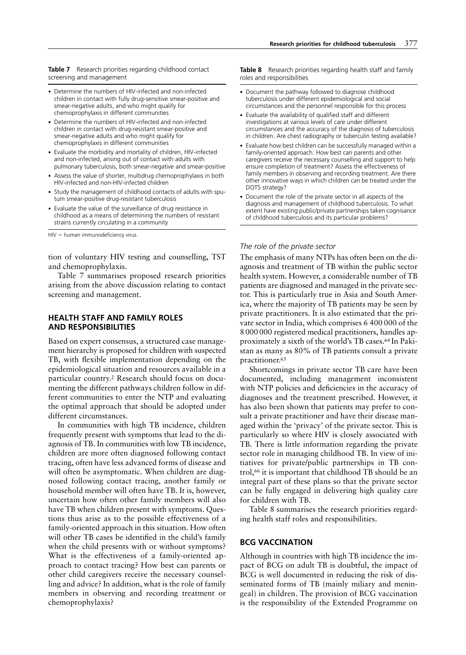**Table 7** Research priorities regarding childhood contact screening and management

- Determine the numbers of HIV-infected and non-infected children in contact with fully drug-sensitive smear-positive and smear-negative adults, and who might qualify for chemoprophylaxis in different communities
- Determine the numbers of HIV-infected and non-infected children in contact with drug-resistant smear-positive and smear-negative adults and who might qualify for chemoprophylaxis in different communities
- Evaluate the morbidity and mortality of children, HIV-infected and non-infected, arising out of contact with adults with pulmonary tuberculosis, both smear-negative and smear-positive
- Assess the value of shorter, multidrug chemoprophylaxis in both HIV-infected and non-HIV-infected children
- Study the management of childhood contacts of adults with sputum smear-positive drug-resistant tuberculosis
- Evaluate the value of the surveillance of drug resistance in childhood as a means of determining the numbers of resistant strains currently circulating in a community

 $HIV =$  human immunodeficiency virus.

tion of voluntary HIV testing and counselling, TST and chemoprophylaxis.

Table 7 summarises proposed research priorities arising from the above discussion relating to contact screening and management.

## **HEALTH STAFF AND FAMILY ROLES AND RESPONSIBILITIES**

Based on expert consensus, a structured case management hierarchy is proposed for children with suspected TB, with flexible implementation depending on the epidemiological situation and resources available in a particular country.2 Research should focus on documenting the different pathways children follow in different communities to enter the NTP and evaluating the optimal approach that should be adopted under different circumstances.

In communities with high TB incidence, children frequently present with symptoms that lead to the diagnosis of TB. In communities with low TB incidence, children are more often diagnosed following contact tracing, often have less advanced forms of disease and will often be asymptomatic. When children are diagnosed following contact tracing, another family or household member will often have TB. It is, however, uncertain how often other family members will also have TB when children present with symptoms. Questions thus arise as to the possible effectiveness of a family-oriented approach in this situation. How often will other TB cases be identified in the child's family when the child presents with or without symptoms? What is the effectiveness of a family-oriented approach to contact tracing? How best can parents or other child caregivers receive the necessary counselling and advice? In addition, what is the role of family members in observing and recording treatment or chemoprophylaxis?

**Table 8** Research priorities regarding health staff and family roles and responsibilities

- Document the pathway followed to diagnose childhood tuberculosis under different epidemiological and social circumstances and the personnel responsible for this process
- Evaluate the availability of qualified staff and different investigations at various levels of care under different circumstances and the accuracy of the diagnosis of tuberculosis in children. Are chest radiography or tuberculin testing available?
- Evaluate how best children can be successfully managed within a family-oriented approach. How best can parents and other caregivers receive the necessary counselling and support to help ensure completion of treatment? Assess the effectiveness of family members in observing and recording treatment. Are there other innovative ways in which children can be treated under the DOTS strategy?
- Document the role of the private sector in all aspects of the diagnosis and management of childhood tuberculosis. To what extent have existing public/private partnerships taken cognisance of childhood tuberculosis and its particular problems?

#### *The role of the private sector*

The emphasis of many NTPs has often been on the diagnosis and treatment of TB within the public sector health system. However, a considerable number of TB patients are diagnosed and managed in the private sector. This is particularly true in Asia and South America, where the majority of TB patients may be seen by private practitioners. It is also estimated that the private sector in India, which comprises 6 400 000 of the 8000000 registered medical practitioners, handles approximately a sixth of the world's TB cases.64 In Pakistan as many as 80% of TB patients consult a private practitioner.65

Shortcomings in private sector TB care have been documented, including management inconsistent with NTP policies and deficiencies in the accuracy of diagnoses and the treatment prescribed. However, it has also been shown that patients may prefer to consult a private practitioner and have their disease managed within the 'privacy' of the private sector. This is particularly so where HIV is closely associated with TB. There is little information regarding the private sector role in managing childhood TB. In view of initiatives for private/public partnerships in TB control,66 it is important that childhood TB should be an integral part of these plans so that the private sector can be fully engaged in delivering high quality care for children with TB.

Table 8 summarises the research priorities regarding health staff roles and responsibilities.

# **BCG VACCINATION**

Although in countries with high TB incidence the impact of BCG on adult TB is doubtful, the impact of BCG is well documented in reducing the risk of disseminated forms of TB (mainly miliary and meningeal) in children. The provision of BCG vaccination is the responsibility of the Extended Programme on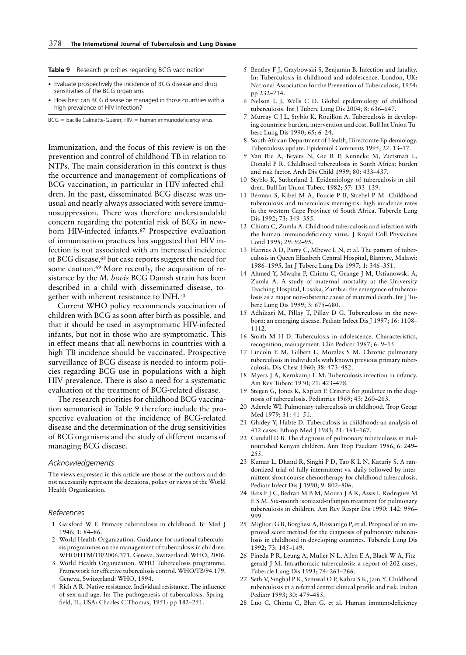|  |  |  |  |  | <b>Table 9</b> Research priorities regarding BCG vaccination |
|--|--|--|--|--|--------------------------------------------------------------|
|--|--|--|--|--|--------------------------------------------------------------|

- Evaluate prospectively the incidence of BCG disease and drug sensitivities of the BCG organisms
- How best can BCG disease be managed in those countries with a high prevalence of HIV infection?

 $BCG =$  bacille Calmette-Guérin;  $HIV =$  human immunodeficiency virus.

Immunization, and the focus of this review is on the prevention and control of childhood TB in relation to NTPs. The main consideration in this context is thus the occurrence and management of complications of BCG vaccination, in particular in HIV-infected children. In the past, disseminated BCG disease was unusual and nearly always associated with severe immunosuppression. There was therefore understandable concern regarding the potential risk of BCG in newborn HIV-infected infants.67 Prospective evaluation of immunisation practices has suggested that HIV infection is not associated with an increased incidence of BCG disease,68 but case reports suggest the need for some caution.<sup>69</sup> More recently, the acquisition of resistance by the *M. bovis* BCG Danish strain has been described in a child with disseminated disease, together with inherent resistance to INH.70

Current WHO policy recommends vaccination of children with BCG as soon after birth as possible, and that it should be used in asymptomatic HIV-infected infants, but not in those who are symptomatic. This in effect means that all newborns in countries with a high TB incidence should be vaccinated. Prospective surveillance of BCG disease is needed to inform policies regarding BCG use in populations with a high HIV prevalence. There is also a need for a systematic evaluation of the treatment of BCG-related disease.

The research priorities for childhood BCG vaccination summarised in Table 9 therefore include the prospective evaluation of the incidence of BCG-related disease and the determination of the drug sensitivities of BCG organisms and the study of different means of managing BCG disease.

## *Acknowledgements*

The views expressed in this article are those of the authors and do not necessarily represent the decisions, policy or views of the World Health Organization.

#### *References*

- 1 Gaisford W F. Primary tuberculosis in childhood. Br Med J 1946; 1: 84–86.
- 2 World Health Organization. Guidance for national tuberculosis programmes on the management of tuberculosis in children. WHO/HTM/TB/2006.371. Geneva, Switzerland: WHO, 2006.
- World Health Organization. WHO Tuberculosis programme. Framework for effective tuberculosis control. WHO/TB/94.179. Geneva, Switzerland: WHO, 1994.
- 4 Rich A R. Native resistance. Individual resistance. The influence of sex and age. In: The pathogenesis of tuberculosis. Springfield, IL, USA: Charles C Thomas, 1951: pp 182–251.
- 5 Bentley F J, Grzybowski S, Benjamin B. Infection and fatality. In: Tuberculosis in childhood and adolescence. London, UK: National Association for the Prevention of Tuberculosis, 1954: pp 232–234.
- 6 Nelson L J, Wells C D. Global epidemiology of childhood tuberculosis. Int J Tuberc Lung Dis 2004; 8: 636–647.
- 7 Murray C J L, Styblo K, Rouillon A. Tuberculosis in developing countries: burden, intervention and cost. Bull Int Union Tuberc Lung Dis 1990; 65: 6–24.
- 8 South African Department of Health, Directorate Epidemiology. Tuberculosis update. Epidemiol Comments 1995; 22: 13–17.
- 9 Van Rie A, Beyers N, Gie R P, Kunneke M, Zietsman L, Donald P R. Childhood tuberculosis in South Africa: burden and risk factor. Arch Dis Child 1999; 80: 433–437.
- 10 Styblo K, Sutherland I. Epidemiology of tuberculosis in children. Bull Int Union Tuberc 1982; 57: 133–139.
- 11 Berman S, Kibel M A, Fourie P B, Strebel P M. Childhood tuberculosis and tuberculous meningitis: high incidence rates in the western Cape Province of South Africa. Tubercle Lung Dis 1992; 73: 349–355.
- 12 Chintu C, Zumla A. Childhood tuberculosis and infection with the human immunodeficiency virus. J Royal Coll Physicians Lond 1995; 29: 92–95.
- 13 Harries A D, Parry C, Mbewe L N, et al. The pattern of tuberculosis in Queen Elizabeth Central Hospital, Blantyre, Malawi: 1986–1995. Int J Tuberc Lung Dis 1997; 1: 346–351.
- 14 Ahmed Y, Mwaba P, Chintu C, Grange J M, Ustianowski A, Zumla A. A study of maternal mortality at the University Teaching Hospital, Lusaka, Zambia: the emergence of tuberculosis as a major non-obstetric cause of maternal death. Int J Tuberc Lung Dis 1999; 3: 675–680.
- 15 Adhikari M, Pillay T, Pillay D G. Tuberculosis in the newborn: an emerging disease. Pediatr Infect Dis J 1997; 16: 1108– 1112.
- 16 Smith M H D. Tuberculosis in adolescence. Characteristics, recognition, management. Clin Pediatr 1967; 6: 9–15.
- 17 Lincoln E M, Gilbert L, Morales S M. Chronic pulmonary tuberculosis in individuals with known previous primary tuberculosis. Dis Chest 1960; 38: 473–482.
- 18 Myers J A, Kernkamp L M. Tuberculosis infection in infancy. Am Rev Tuberc 1930; 21: 423–478.
- 19 Stegen G, Jones K, Kaplan P. Criteria for guidance in the diagnosis of tuberculosis. Pediatrics 1969; 43: 260–263.
- 20 Aderele WI. Pulmonary tuberculosis in childhood. Trop Geogr Med 1979; 31: 41–51.
- 21 Ghidey Y, Habte D. Tuberculosis in childhood: an analysis of 412 cases. Ethiop Med J 1983; 21: 161–167.
- 22 Cundall D B. The diagnosis of pulmonary tuberculosis in malnourished Kenyan children. Ann Trop Paediatr 1986; 6: 249– 255.
- 23 Kumar L, Dhand R, Singhi P D, Tao K L N, Katariy S. A randomized trial of fully intermittent vs. daily followed by intermittent short course chemotherapy for childhood tuberculosis. Pediatr Infect Dis J 1990; 9: 802–806.
- 24 Reis F J C, Bedran M B M, Moura J A R, Assis I, Rodrigues M E S M. Six-month isoniazid-rifampin treatment for pulmonary tuberculosis in children. Am Rev Respir Dis 1990; 142: 996– 999.
- 25 Migliori G B, Borghesi A, Rossanigo P, et al. Proposal of an improved score method for the diagnosis of pulmonary tuberculosis in childhood in developing countries. Tubercle Lung Dis 1992; 73: 145–149.
- 26 Pineda P R, Leung A, Muller N L, Allen E A, Black W A, Fitzgerald J M. Intrathoracic tuberculosis: a report of 202 cases. Tubercle Lung Dis 1993; 74: 261–266.
- 27 Seth V, Singhal P K, Semwal O P, Kabra S K, Jain Y. Childhood tuberculosis in a referral centre: clinical profile and risk. Indian Pediatr 1993; 30: 479–485.
- 28 Luo C, Chintu C, Bhat G, et al. Human immunodeficiency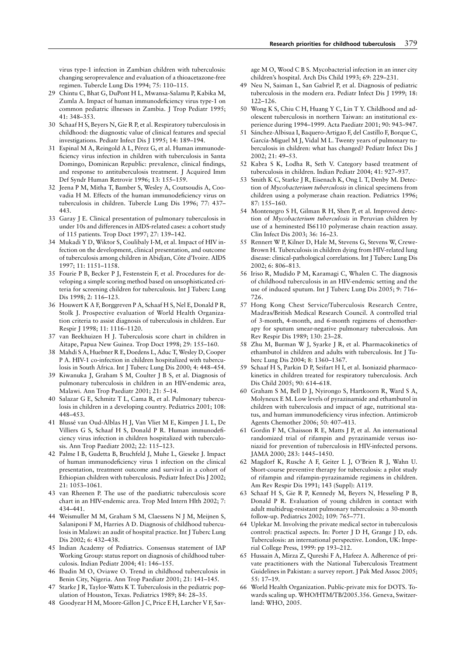virus type-1 infection in Zambian children with tuberculosis: changing seroprevalence and evaluation of a thioacetazone-free regimen. Tubercle Lung Dis 1994; 75: 110–115.

- 29 Chintu C, Bhat G, DuPont H L, Mwansa-Salamu P, Kabika M, Zumla A. Impact of human immunodeficiency virus type-1 on common pediatric illnesses in Zambia. J Trop Pediatr 1995; 41: 348–353.
- 30 Schaaf H S, Beyers N, Gie R P, et al. Respiratory tuberculosis in childhood: the diagnostic value of clinical features and special investigations. Pediatr Infect Dis J 1995; 14: 189–194.
- 31 Espinal M A, Reingold A L, Pérez G, et al. Human immunodeficiency virus infection in children with tuberculosis in Santa Domingo, Dominican Republic: prevalence, clinical findings, and response to antituberculosis treatment. J Acquired Imm Def Syndr Human Retrovir 1996; 13: 155–159.
- 32 Jeena P M, Mitha T, Bamber S, Wesley A, Coutsoudis A, Coovadia H M. Effects of the human immunodeficiency virus on tuberculosis in children. Tubercle Lung Dis 1996; 77: 437– 443.
- 33 Garay J E. Clinical presentation of pulmonary tuberculosis in under 10s and differences in AIDS-related cases: a cohort study of 115 patients. Trop Doct 1997; 27: 139–142.
- 34 Mukadi Y D, Wiktor S, Coulibaly I-M, et al. Impact of HIV infection on the development, clinical presentation, and outcome of tuberculosis among children in Abidjan, Côte d'Ivoire. AIDS 1997; 11: 1151–1158.
- 35 Fourie P B, Becker P J, Festenstein F, et al. Procedures for developing a simple scoring method based on unsophisticated criteria for screening children for tuberculosis. Int J Tuberc Lung Dis 1998; 2: 116–123.
- 36 Houwert K A F, Borggreven P A, Schaaf H S, Nel E, Donald P R, Stolk J. Prospective evaluation of World Health Organization criteria to assist diagnosis of tuberculosis in children. Eur Respir J 1998; 11: 1116–1120.
- 37 van Beekhuizen H J. Tuberculosis score chart in children in Aitape, Papua New Guinea. Trop Doct 1998; 29: 155–160.
- 38 Mahdi S A, Huebner R E, Doedens L, Aduc T, Wesley D, Cooper P A. HIV-1 co-infection in children hospitalized with tuberculosis in South Africa. Int J Tuberc Lung Dis 2000; 4: 448–454.
- 39 Kiwanuka J, Graham S M, Coulter J B S, et al. Diagnosis of pulmonary tuberculosis in children in an HIV-endemic area, Malawi. Ann Trop Paediatr 2001; 21: 5–14.
- 40 Salazar G E, Schmitz T L, Cama R, et al. Pulmonary tuberculosis in children in a developing country. Pediatrics 2001; 108: 448–453.
- 41 Blussé van Oud-Alblas H J, Van Vliet M E, Kimpen J L L, De Villiers G S, Schaaf H S, Donald P R. Human immunodeficiency virus infection in children hospitalized with tuberculosis. Ann Trop Paediatr 2002; 22: 115–123.
- 42 Palme I B, Gudetta B, Bruchfeld J, Muhe L, Gieseke J. Impact of human immunodeficiency virus 1 infection on the clinical presentation, treatment outcome and survival in a cohort of Ethiopian children with tuberculosis. Pediatr Infect Dis J 2002; 21: 1053–1061.
- 43 van Rheenen P. The use of the paediatric tuberculosis score chart in an HIV-endemic area. Trop Med Intern Hlth 2002; 7: 434–441.
- 44 Weismuller M M, Graham S M, Claessens N J M, Meijnen S, Salaniponi F M, Harries A D. Diagnosis of childhood tuberculosis in Malawi: an audit of hospital practice. Int J Tuberc Lung Dis 2002; 6: 432–438.
- 45 Indian Academy of Pediatrics. Consensus statement of IAP Working Group: status report on diagnosis of childhood tuberculosis. Indian Pediatr 2004; 41: 146–155.
- 46 Ibadin M O, Oviawe O. Trend in childhood tuberculosis in Benin City, Nigeria. Ann Trop Paediatr 2001; 21: 141–145.
- 47 Starke J R, Taylor-Watts K T. Tuberculosis in the pediatric population of Houston, Texas. Pediatrics 1989; 84: 28–35.
- 48 Goodyear H M, Moore-Gillon J C, Price E H, Larcher V F, Sav-

age M O, Wood C B S. Mycobacterial infection in an inner city children's hospital. Arch Dis Child 1993; 69: 229–231.

- 49 Neu N, Saiman L, San Gabriel P, et al. Diagnosis of pediatric tuberculosis in the modern era. Pediatr Infect Dis J 1999; 18: 122–126.
- 50 Wong K S, Chiu C H, Huang Y C, Lin T Y. Childhood and adolescent tuberculosis in northern Taiwan: an institutional experience during 1994–1999. Acta Paediatr 2001; 90: 943–947.
- 51 Sánchez-Albisua I, Baquero-Artigao F, del Castillo F, Borque C, García-Miguel M J, Vidal M L. Twenty years of pulmonary tuberculosis in children: what has changed? Pediatr Infect Dis J 2002; 21: 49–53.
- 52 Kabra S K, Lodha R, Seth V. Category based treatment of tuberculosis in children. Indian Pediatr 2004; 41: 927–937.
- 53 Smith K C, Starke J R, Eisenach K, Ong L T, Denby M. Detection of *Mycobacterium tuberculosis* in clinical specimens from children using a polymerase chain reaction. Pediatrics 1996; 87: 155–160.
- 54 Montenegro S H, Gilman R H, Shen P, et al. Improved detection of *Mycobacterium tuberculosis* in Peruvian children by use of a heminested IS6110 polymerase chain reaction assay. Clin Infect Dis 2003; 36: 16–23.
- 55 Rennert W P, Kilner D, Hale M, Stevens G, Stevens W, Crewe-Brown H. Tuberculosis in children dying from HIV-related lung disease: clinical-pathological correlations. Int J Tuberc Lung Dis 2002; 6: 806–813.
- 56 Iriso R, Mudido P M, Karamagi C, Whalen C. The diagnosis of childhood tuberculosis in an HIV-endemic setting and the use of induced sputum. Int J Tuberc Lung Dis 2005; 9: 716– 726.
- 57 Hong Kong Chest Service/Tuberculosis Research Centre, Madras/British Medical Research Council. A controlled trial of 3-month, 4-month, and 6-month regimens of chemotherapy for sputum smear-negative pulmonary tuberculosis. Am Rev Respir Dis 1989; 130: 23–28.
- 58 Zhu M, Burman W J, Syarke J R, et al. Pharmacokinetics of ethambutol in children and adults with tuberculosis. Int J Tuberc Lung Dis 2004; 8: 1360–1367.
- 59 Schaaf H S, Parkin D P, Seifart H I, et al. Isoniazid pharmacokinetics in children treated for respiratory tuberculosis. Arch Dis Child 2005; 90: 614–618.
- 60 Graham S M, Bell D J, Nyirongo S, Hartkoorn R, Ward S A, Molyneux E M. Low levels of pyrazinamide and ethambutol in children with tuberculosis and impact of age, nutritional status, and human immunodeficiency virus infection. Antimicrob Agents Chemother 2006; 50: 407–413.
- 61 Gordin F M, Chaisson R E, Matts J P, et al. An international randomized trial of rifampin and pyrazinamide versus isoniazid for prevention of tuberculosis in HIV-infected persons. JAMA 2000; 283: 1445–1450.
- 62 Magdorf K, Rusche A F, Geiter L J, O'Brien R J, Wahn U. Short-course preventive therapy for tuberculosis: a pilot study of rifampin and rifampin-pyrazinamide regimens in children. Am Rev Respir Dis 1991; 143 (Suppl): A119.
- 63 Schaaf H S, Gie R P, Kennedy M, Beyers N, Hesseling P B, Donald P R. Evaluation of young children in contact with adult multidrug-resistant pulmonary tuberculosis: a 30-month follow-up. Pediatrics 2002; 109: 765–771.
- 64 Uplekar M. Involving the private medical sector in tuberculosis control: practical aspects. In: Porter J D H, Grange J D, eds. Tuberculosis: an international perspective. London, UK: Imperial College Press, 1999: pp 193–212.
- 65 Hussain A, Mirza Z, Qureshi F A, Hafeez A. Adherence of private practitioners with the National Tuberculosis Treatment Guidelines in Pakistan: a survey report. J Pak Med Assoc 2005; 55: 17–19.
- 66 World Health Organization. Public-private mix for DOTS. Towards scaling up. WHO/HTM/TB/2005.356. Geneva, Switzerland: WHO, 2005.